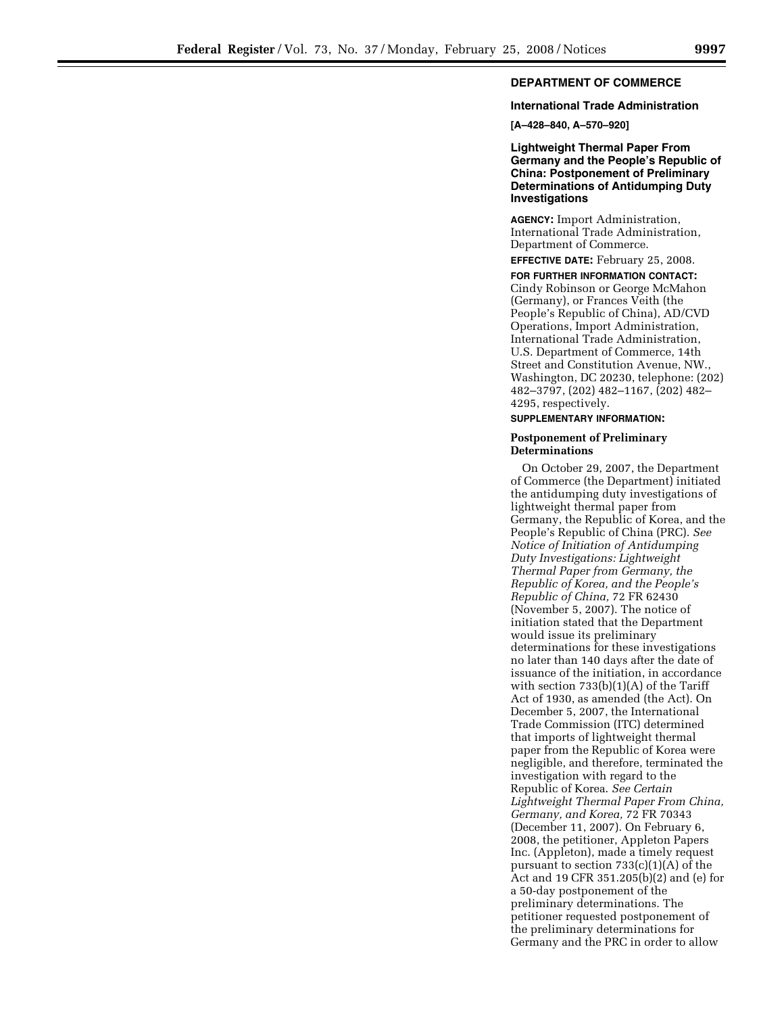## **International Trade Administration**

**[A–428–840, A–570–920]** 

**Lightweight Thermal Paper From Germany and the People's Republic of China: Postponement of Preliminary Determinations of Antidumping Duty Investigations** 

**AGENCY:** Import Administration, International Trade Administration, Department of Commerce.

**EFFECTIVE DATE:** February 25, 2008.

**FOR FURTHER INFORMATION CONTACT:**  Cindy Robinson or George McMahon (Germany), or Frances Veith (the People's Republic of China), AD/CVD Operations, Import Administration, International Trade Administration, U.S. Department of Commerce, 14th Street and Constitution Avenue, NW., Washington, DC 20230, telephone: (202) 482–3797, (202) 482–1167, (202) 482– 4295, respectively.

## **SUPPLEMENTARY INFORMATION:**

## **Postponement of Preliminary Determinations**

On October 29, 2007, the Department of Commerce (the Department) initiated the antidumping duty investigations of lightweight thermal paper from Germany, the Republic of Korea, and the People's Republic of China (PRC). *See Notice of Initiation of Antidumping Duty Investigations: Lightweight Thermal Paper from Germany, the Republic of Korea, and the People's Republic of China,* 72 FR 62430 (November 5, 2007). The notice of initiation stated that the Department would issue its preliminary determinations for these investigations no later than 140 days after the date of issuance of the initiation, in accordance with section 733(b)(1)(A) of the Tariff Act of 1930, as amended (the Act). On December 5, 2007, the International Trade Commission (ITC) determined that imports of lightweight thermal paper from the Republic of Korea were negligible, and therefore, terminated the investigation with regard to the Republic of Korea. *See Certain Lightweight Thermal Paper From China, Germany, and Korea,* 72 FR 70343 (December 11, 2007). On February 6, 2008, the petitioner, Appleton Papers Inc. (Appleton), made a timely request pursuant to section 733(c)(1)(A) of the Act and 19 CFR 351.205(b)(2) and (e) for a 50-day postponement of the preliminary determinations. The petitioner requested postponement of the preliminary determinations for Germany and the PRC in order to allow